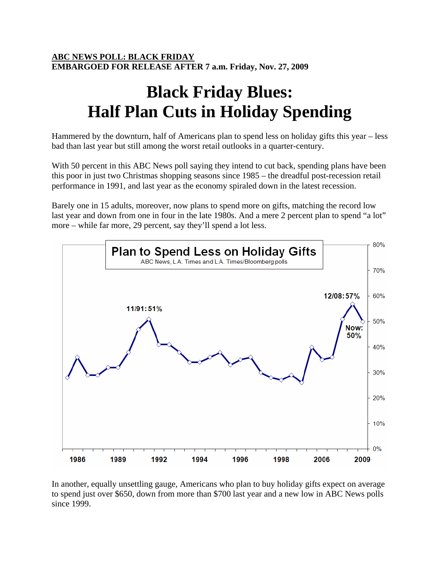## **ABC NEWS POLL: BLACK FRIDAY EMBARGOED FOR RELEASE AFTER 7 a.m. Friday, Nov. 27, 2009**

## **Black Friday Blues: Half Plan Cuts in Holiday Spending**

Hammered by the downturn, half of Americans plan to spend less on holiday gifts this year – less bad than last year but still among the worst retail outlooks in a quarter-century.

With 50 percent in this ABC News poll saying they intend to cut back, spending plans have been this poor in just two Christmas shopping seasons since 1985 – the dreadful post-recession retail performance in 1991, and last year as the economy spiraled down in the latest recession.

Barely one in 15 adults, moreover, now plans to spend more on gifts, matching the record low last year and down from one in four in the late 1980s. And a mere 2 percent plan to spend "a lot" more – while far more, 29 percent, say they'll spend a lot less.



In another, equally unsettling gauge, Americans who plan to buy holiday gifts expect on average to spend just over \$650, down from more than \$700 last year and a new low in ABC News polls since 1999.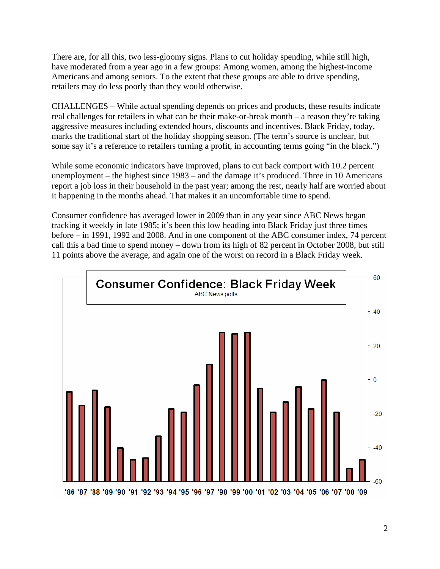There are, for all this, two less-gloomy signs. Plans to cut holiday spending, while still high, have moderated from a year ago in a few groups: Among women, among the highest-income Americans and among seniors. To the extent that these groups are able to drive spending, retailers may do less poorly than they would otherwise.

CHALLENGES – While actual spending depends on prices and products, these results indicate real challenges for retailers in what can be their make-or-break month – a reason they're taking aggressive measures including extended hours, discounts and incentives. Black Friday, today, marks the traditional start of the holiday shopping season. (The term's source is unclear, but some say it's a reference to retailers turning a profit, in accounting terms going "in the black.")

While some economic indicators have improved, plans to cut back comport with 10.2 percent unemployment – the highest since 1983 – and the damage it's produced. Three in 10 Americans report a job loss in their household in the past year; among the rest, nearly half are worried about it happening in the months ahead. That makes it an uncomfortable time to spend.

Consumer confidence has averaged lower in 2009 than in any year since ABC News began tracking it weekly in late 1985; it's been this low heading into Black Friday just three times before – in 1991, 1992 and 2008. And in one component of the ABC consumer index, 74 percent call this a bad time to spend money – down from its high of 82 percent in October 2008, but still 11 points above the average, and again one of the worst on record in a Black Friday week.

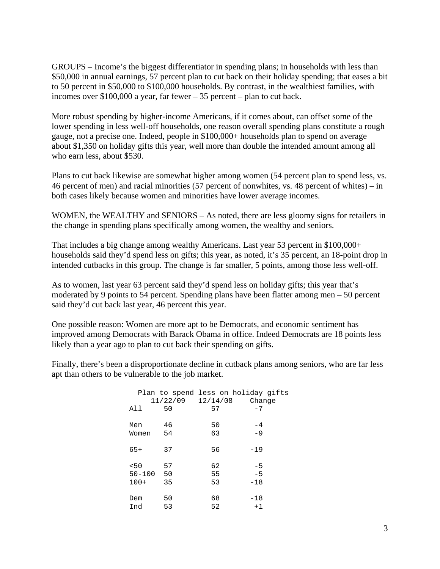GROUPS – Income's the biggest differentiator in spending plans; in households with less than \$50,000 in annual earnings, 57 percent plan to cut back on their holiday spending; that eases a bit to 50 percent in \$50,000 to \$100,000 households. By contrast, in the wealthiest families, with incomes over \$100,000 a year, far fewer – 35 percent – plan to cut back.

More robust spending by higher-income Americans, if it comes about, can offset some of the lower spending in less well-off households, one reason overall spending plans constitute a rough gauge, not a precise one. Indeed, people in \$100,000+ households plan to spend on average about \$1,350 on holiday gifts this year, well more than double the intended amount among all who earn less, about \$530.

Plans to cut back likewise are somewhat higher among women (54 percent plan to spend less, vs. 46 percent of men) and racial minorities (57 percent of nonwhites, vs. 48 percent of whites) – in both cases likely because women and minorities have lower average incomes.

WOMEN, the WEALTHY and SENIORS – As noted, there are less gloomy signs for retailers in the change in spending plans specifically among women, the wealthy and seniors.

That includes a big change among wealthy Americans. Last year 53 percent in \$100,000+ households said they'd spend less on gifts; this year, as noted, it's 35 percent, an 18-point drop in intended cutbacks in this group. The change is far smaller, 5 points, among those less well-off.

As to women, last year 63 percent said they'd spend less on holiday gifts; this year that's moderated by 9 points to 54 percent. Spending plans have been flatter among men – 50 percent said they'd cut back last year, 46 percent this year.

One possible reason: Women are more apt to be Democrats, and economic sentiment has improved among Democrats with Barack Obama in office. Indeed Democrats are 18 points less likely than a year ago to plan to cut back their spending on gifts.

Finally, there's been a disproportionate decline in cutback plans among seniors, who are far less apt than others to be vulnerable to the job market.

|            | 11/22/09 | 12/14/08 | Plan to spend less on holiday gifts<br>Change |
|------------|----------|----------|-----------------------------------------------|
| All        | 50       | 57       | $-7$                                          |
| Men        | 46       | 50       | $-4$                                          |
| Women      | 54       | 63       | $-9$                                          |
| $65+$      | 37       | 56       | $-19$                                         |
| 50<        | 57       | 62       | $-5$                                          |
| $50 - 100$ | 50       | 55       | $-5$                                          |
| $100+$     | 35       | 53       | $-18$                                         |
| Dem        | 50       | 68       | $-18$                                         |
| Ind        | 53       | 52       | $+1$                                          |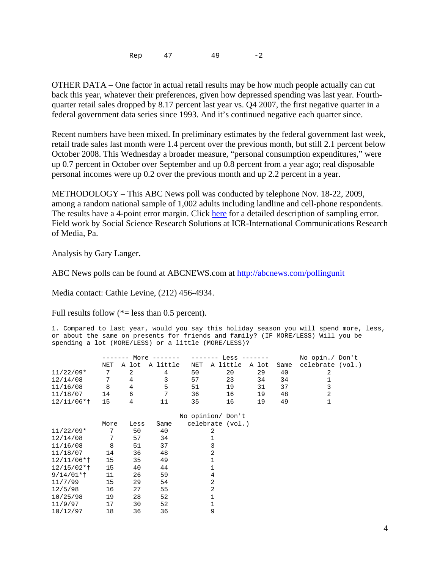Rep 47 49 -2

OTHER DATA – One factor in actual retail results may be how much people actually can cut back this year, whatever their preferences, given how depressed spending was last year. Fourthquarter retail sales dropped by 8.17 percent last year vs. Q4 2007, the first negative quarter in a federal government data series since 1993. And it's continued negative each quarter since.

Recent numbers have been mixed. In preliminary estimates by the federal government last week, retail trade sales last month were 1.4 percent over the previous month, but still 2.1 percent below October 2008. This Wednesday a broader measure, "personal consumption expenditures," were up 0.7 percent in October over September and up 0.8 percent from a year ago; real disposable personal incomes were up 0.2 over the previous month and up 2.2 percent in a year.

METHODOLOGY – This ABC News poll was conducted by telephone Nov. 18-22, 2009, among a random national sample of 1,002 adults including landline and cell-phone respondents. The results have a 4-point error margin. Click here for a detailed description of sampling error. Field work by Social Science Research Solutions at ICR-International Communications Research of Media, Pa.

Analysis by Gary Langer.

ABC News polls can be found at ABCNEWS.com at http://abcnews.com/pollingunit

Media contact: Cathie Levine, (212) 456-4934.

Full results follow  $(*=$  less than 0.5 percent).

1. Compared to last year, would you say this holiday season you will spend more, less, or about the same on presents for friends and family? (IF MORE/LESS) Will you be spending a lot (MORE/LESS) or a little (MORE/LESS)?

|               | More $---$ |       |          |     | Less $-----$<br>----- | No opin./ Don't |      |                  |
|---------------|------------|-------|----------|-----|-----------------------|-----------------|------|------------------|
|               | NET        | A lot | A little | NET | A little              | A lot           | Same | celebrate (vol.) |
| $11/22/09*$   | 7          | 2     | 4        | 50  | 20                    | 29              | 40   | 2                |
| 12/14/08      | 7          | 4     | 3        | 57  | 23                    | 34              | 34   | 1                |
| 11/16/08      | 8          | 4     | 5        | 51  | 19                    | 31              | 37   | 3                |
| 11/18/07      | 14         | 6     | 7        | 36  | 16                    | 19              | 48   | 2                |
| $12/11/06*$   | 15         | 4     | 11       | 35  | 16                    | 19              | 49   | 1                |
|               |            |       |          |     |                       |                 |      |                  |
|               |            |       |          |     | No opinion/ Don't     |                 |      |                  |
|               | More       | Less  | Same     |     | celebrate (vol.)      |                 |      |                  |
| $11/22/09*$   | 7          | 50    | 40       |     | 2                     |                 |      |                  |
| 12/14/08      | 7          | 57    | 34       |     | 1                     |                 |      |                  |
| 11/16/08      | 8          | 51    | 37       | 3   |                       |                 |      |                  |
| 11/18/07      | 14         | 36    | 48       | 2   |                       |                 |      |                  |
| $12/11/06*$ † | 15         | 35    | 49       | 1   |                       |                 |      |                  |
| $12/15/02*t$  | 15         | 40    | 44       |     | 1                     |                 |      |                  |
| $9/14/01*$    | 11         | 26    | 59       |     | 4                     |                 |      |                  |
| 11/7/99       | 15         | 29    | 54       |     | 2                     |                 |      |                  |
| 12/5/98       | 16         | 27    | 55       |     | 2                     |                 |      |                  |
| 10/25/98      | 19         | 28    | 52       |     | 1                     |                 |      |                  |
| 11/9/97       | 17         | 30    | 52       |     | 1                     |                 |      |                  |
| 10/12/97      | 18         | 36    | 36       |     | 9                     |                 |      |                  |